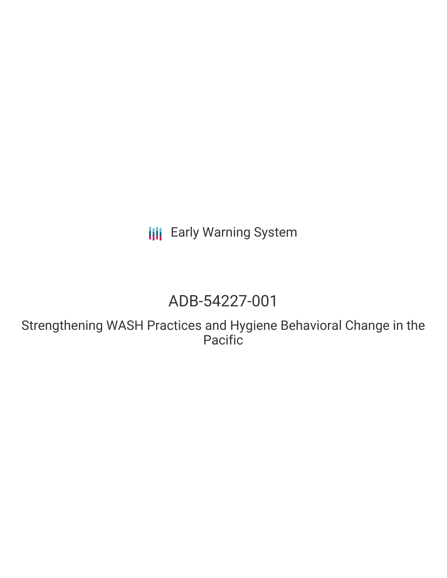**III** Early Warning System

# ADB-54227-001

Strengthening WASH Practices and Hygiene Behavioral Change in the Pacific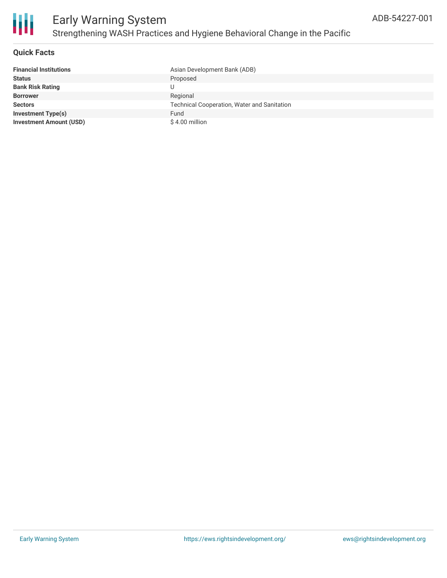

#### **Quick Facts**

| <b>Financial Institutions</b>  | Asian Development Bank (ADB)                       |
|--------------------------------|----------------------------------------------------|
| <b>Status</b>                  | Proposed                                           |
| <b>Bank Risk Rating</b>        |                                                    |
| <b>Borrower</b>                | Regional                                           |
| <b>Sectors</b>                 | <b>Technical Cooperation, Water and Sanitation</b> |
| <b>Investment Type(s)</b>      | Fund                                               |
| <b>Investment Amount (USD)</b> | \$4.00 million                                     |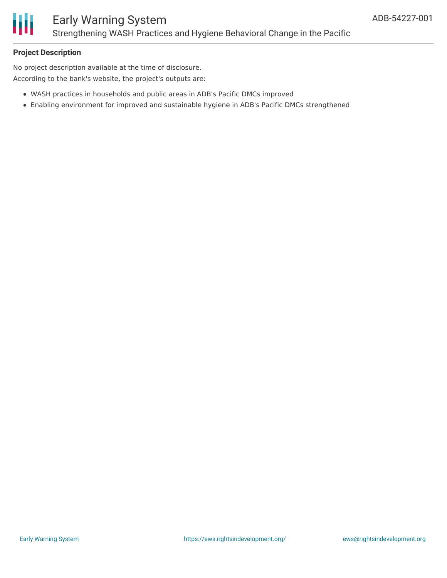

#### **Project Description**

No project description available at the time of disclosure. According to the bank's website, the project's outputs are:

- WASH practices in households and public areas in ADB's Pacific DMCs improved
- Enabling environment for improved and sustainable hygiene in ADB's Pacific DMCs strengthened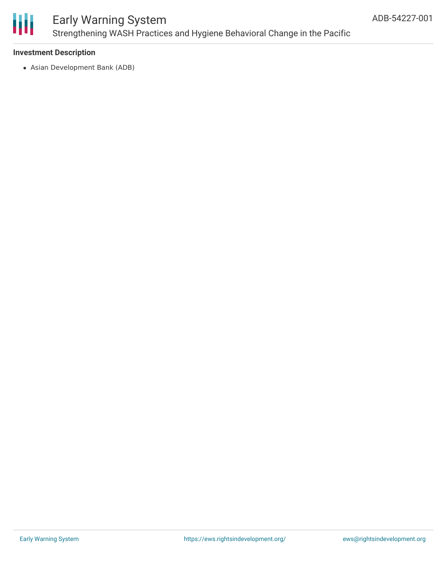

### Early Warning System Strengthening WASH Practices and Hygiene Behavioral Change in the Pacific

#### **Investment Description**

Asian Development Bank (ADB)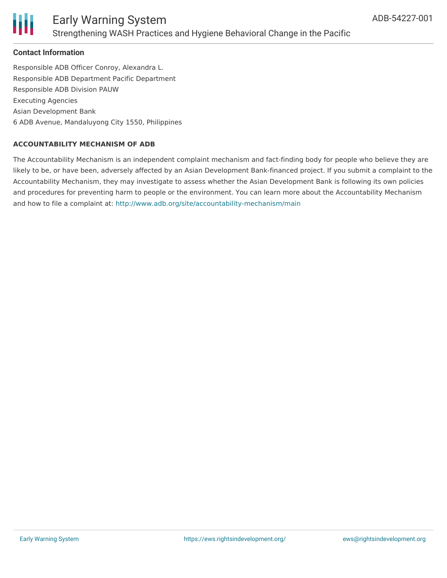

#### **Contact Information**

Responsible ADB Officer Conroy, Alexandra L. Responsible ADB Department Pacific Department Responsible ADB Division PAUW Executing Agencies Asian Development Bank 6 ADB Avenue, Mandaluyong City 1550, Philippines

#### **ACCOUNTABILITY MECHANISM OF ADB**

The Accountability Mechanism is an independent complaint mechanism and fact-finding body for people who believe they are likely to be, or have been, adversely affected by an Asian Development Bank-financed project. If you submit a complaint to the Accountability Mechanism, they may investigate to assess whether the Asian Development Bank is following its own policies and procedures for preventing harm to people or the environment. You can learn more about the Accountability Mechanism and how to file a complaint at: <http://www.adb.org/site/accountability-mechanism/main>